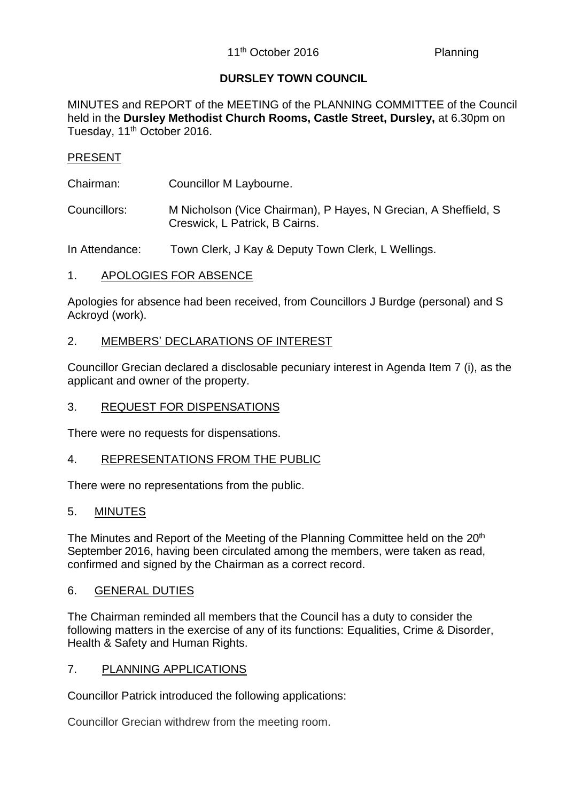# **DURSLEY TOWN COUNCIL**

MINUTES and REPORT of the MEETING of the PLANNING COMMITTEE of the Council held in the **Dursley Methodist Church Rooms, Castle Street, Dursley,** at 6.30pm on Tuesday, 11<sup>th</sup> October 2016.

# PRESENT

- Chairman: Councillor M Laybourne.
- Councillors: M Nicholson (Vice Chairman), P Hayes, N Grecian, A Sheffield, S Creswick, L Patrick, B Cairns.

In Attendance: Town Clerk, J Kay & Deputy Town Clerk, L Wellings.

1. APOLOGIES FOR ABSENCE

Apologies for absence had been received, from Councillors J Burdge (personal) and S Ackroyd (work).

# 2. MEMBERS' DECLARATIONS OF INTEREST

Councillor Grecian declared a disclosable pecuniary interest in Agenda Item 7 (i), as the applicant and owner of the property.

# 3. REQUEST FOR DISPENSATIONS

There were no requests for dispensations.

# 4. REPRESENTATIONS FROM THE PUBLIC

There were no representations from the public.

#### 5. MINUTES

The Minutes and Report of the Meeting of the Planning Committee held on the 20<sup>th</sup> September 2016, having been circulated among the members, were taken as read, confirmed and signed by the Chairman as a correct record.

#### 6. GENERAL DUTIES

The Chairman reminded all members that the Council has a duty to consider the following matters in the exercise of any of its functions: Equalities, Crime & Disorder, Health & Safety and Human Rights.

#### 7. PLANNING APPLICATIONS

Councillor Patrick introduced the following applications:

Councillor Grecian withdrew from the meeting room.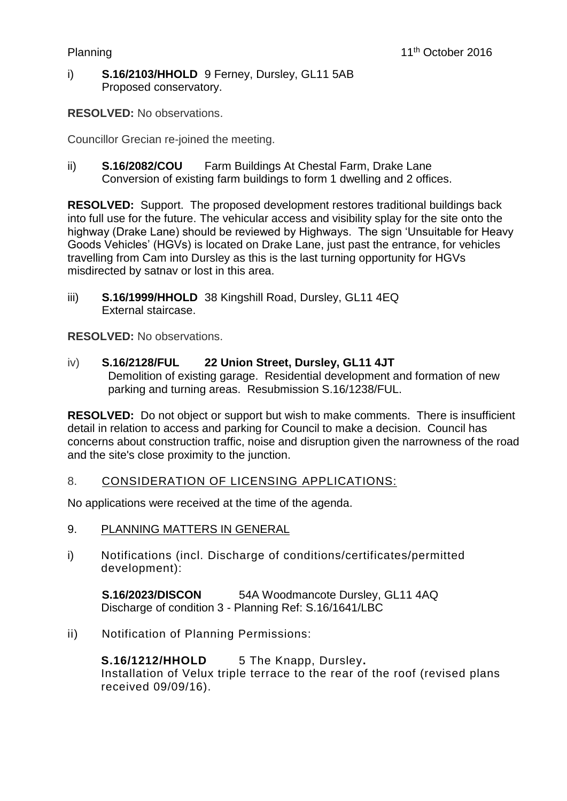i) **S.16/2103/HHOLD** 9 Ferney, Dursley, GL11 5AB Proposed conservatory.

**RESOLVED:** No observations.

Councillor Grecian re-joined the meeting.

ii) **S.16/2082/COU** Farm Buildings At Chestal Farm, Drake Lane Conversion of existing farm buildings to form 1 dwelling and 2 offices.

**RESOLVED:** Support. The proposed development restores traditional buildings back into full use for the future. The vehicular access and visibility splay for the site onto the highway (Drake Lane) should be reviewed by Highways. The sign 'Unsuitable for Heavy Goods Vehicles' (HGVs) is located on Drake Lane, just past the entrance, for vehicles travelling from Cam into Dursley as this is the last turning opportunity for HGVs misdirected by satnav or lost in this area.

iii) **S.16/1999/HHOLD** 38 Kingshill Road, Dursley, GL11 4EQ External staircase.

**RESOLVED:** No observations.

iv) **S.16/2128/FUL 22 Union Street, Dursley, GL11 4JT** Demolition of existing garage. Residential development and formation of new parking and turning areas. Resubmission S.16/1238/FUL.

**RESOLVED:** Do not object or support but wish to make comments. There is insufficient detail in relation to access and parking for Council to make a decision. Council has concerns about construction traffic, noise and disruption given the narrowness of the road and the site's close proximity to the junction.

# 8. CONSIDERATION OF LICENSING APPLICATIONS:

No applications were received at the time of the agenda.

- 9. PLANNING MATTERS IN GENERAL
- i) Notifications (incl. Discharge of conditions/certificates/permitted development):

**S.16/2023/DISCON** 54A Woodmancote Dursley, GL11 4AQ Discharge of condition 3 - Planning Ref: S.16/1641/LBC

ii) Notification of Planning Permissions:

**S.16/1212/HHOLD** 5 The Knapp, Dursley**.** Installation of Velux triple terrace to the rear of the roof (revised plans received 09/09/16).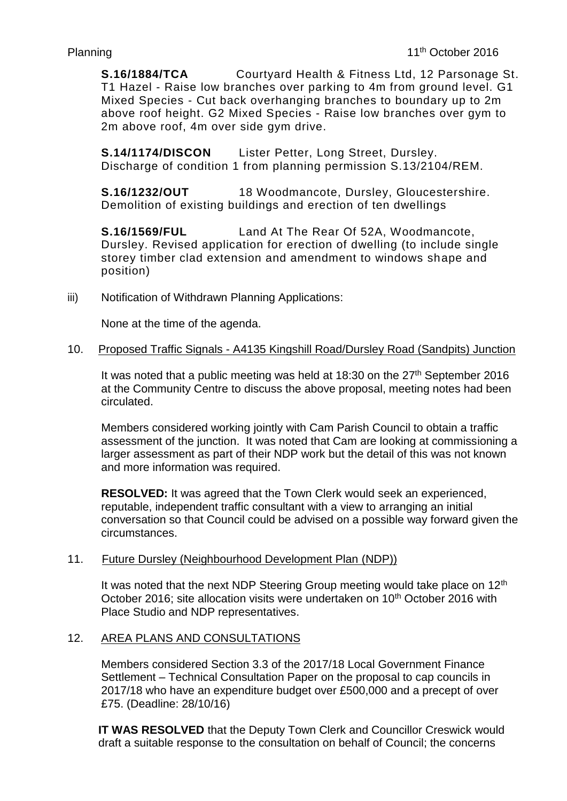**S.16/1884/TCA** Courtyard Health & Fitness Ltd, 12 Parsonage St. T1 Hazel - Raise low branches over parking to 4m from ground level. G1 Mixed Species - Cut back overhanging branches to boundary up to 2m above roof height. G2 Mixed Species - Raise low branches over gym to 2m above roof, 4m over side gym drive.

**S.14/1174/DISCON** Lister Petter, Long Street, Dursley. Discharge of condition 1 from planning permission S.13/2104/REM.

**S.16/1232/OUT** 18 Woodmancote, Dursley, Gloucestershire. Demolition of existing buildings and erection of ten dwellings

**S.16/1569/FUL** Land At The Rear Of 52A, Woodmancote, Dursley. Revised application for erection of dwelling (to include single storey timber clad extension and amendment to windows shape and position)

iii) Notification of Withdrawn Planning Applications:

None at the time of the agenda.

### 10. Proposed Traffic Signals - A4135 Kingshill Road/Dursley Road (Sandpits) Junction

It was noted that a public meeting was held at  $18:30$  on the  $27<sup>th</sup>$  September 2016 at the Community Centre to discuss the above proposal, meeting notes had been circulated.

Members considered working jointly with Cam Parish Council to obtain a traffic assessment of the junction. It was noted that Cam are looking at commissioning a larger assessment as part of their NDP work but the detail of this was not known and more information was required.

**RESOLVED:** It was agreed that the Town Clerk would seek an experienced, reputable, independent traffic consultant with a view to arranging an initial conversation so that Council could be advised on a possible way forward given the circumstances.

### 11. Future Dursley (Neighbourhood Development Plan (NDP))

It was noted that the next NDP Steering Group meeting would take place on 12<sup>th</sup> October 2016; site allocation visits were undertaken on 10<sup>th</sup> October 2016 with Place Studio and NDP representatives.

# 12. AREA PLANS AND CONSULTATIONS

Members considered Section 3.3 of the 2017/18 Local Government Finance Settlement – Technical Consultation Paper on the proposal to cap councils in 2017/18 who have an expenditure budget over £500,000 and a precept of over £75. (Deadline: 28/10/16)

**IT WAS RESOLVED** that the Deputy Town Clerk and Councillor Creswick would draft a suitable response to the consultation on behalf of Council; the concerns